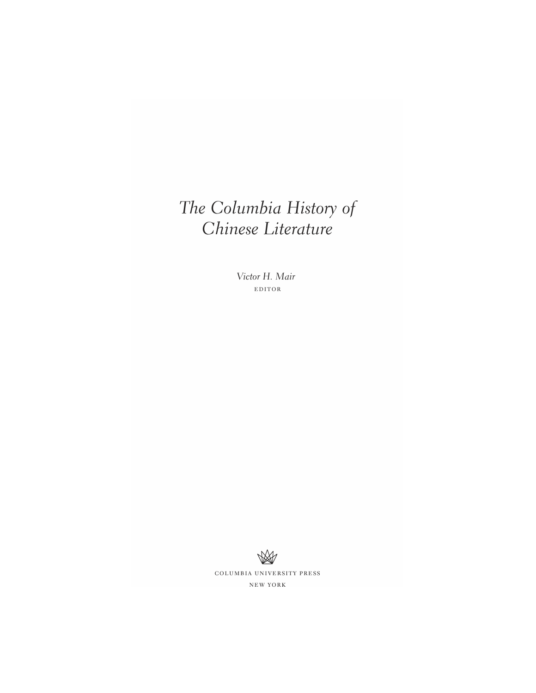# *The Columbia History of Chinese Literature*

*Victor H. Mair* editor



columbia university press

new york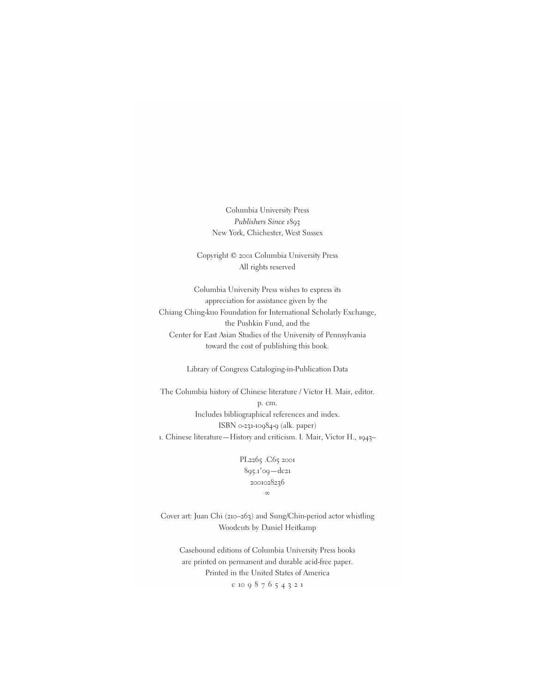Columbia University Press *Publishers Since 1893* New York, Chichester, West Sussex

Copyright  $© 2001$  Columbia University Press All rights reserved

Columbia University Press wishes to express its appreciation for assistance given by the Chiang Ching-kuo Foundation for International Scholarly Exchange, the Pushkin Fund, and the Center for East Asian Studies of the University of Pennsylvania toward the cost of publishing this book.

Library of Congress Cataloging-in-Publication Data

The Columbia history of Chinese literature / Victor H. Mair, editor. p. cm. Includes bibliographical references and index. ISBN 0-231-10984-9 (alk. paper) 1. Chinese literature—History and criticism. I. Mair, Victor H., 1943–

> PL2265 .C65 2001 895.1′09—dc21 2001028236  $\infty$

Cover art: Juan Chi (210–263) and Sung/Chin-period actor whistling Woodcuts by Daniel Heitkamp

Casebound editions of Columbia University Press books are printed on permanent and durable acid-free paper. Printed in the United States of America

c 10 9 8 7 6 5 4 3 2 1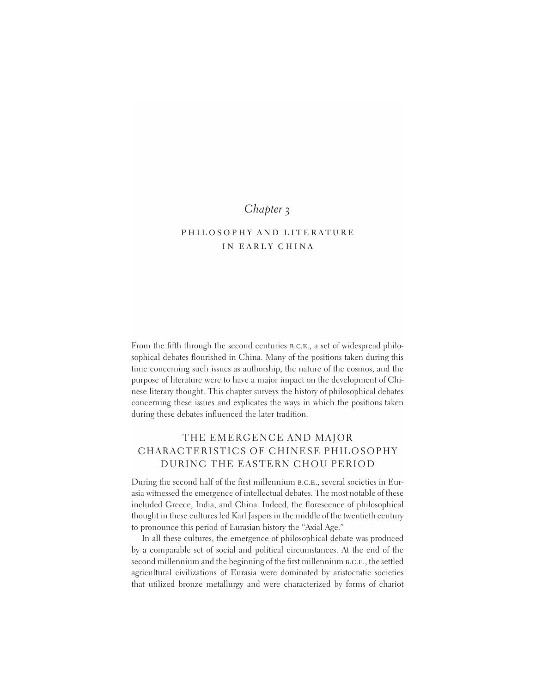# *Chapter 3*

### philosophy and literature in early china

From the fifth through the second centuries B.C.E., a set of widespread philosophical debates flourished in China. Many of the positions taken during this time concerning such issues as authorship, the nature of the cosmos, and the purpose of literature were to have a major impact on the development of Chinese literary thought. This chapter surveys the history of philosophical debates concerning these issues and explicates the ways in which the positions taken during these debates influenced the later tradition.

# THE EMERGENCE AND MAJOR CHARACTERISTICS OF CHINESE PHILOSOPHY DURING THE EASTERN CHOU PERIOD

During the second half of the first millennium b.c.e., several societies in Eurasia witnessed the emergence of intellectual debates. The most notable of these included Greece, India, and China. Indeed, the florescence of philosophical thought in these cultures led Karl Jaspers in the middle of the twentieth century to pronounce this period of Eurasian history the "Axial Age."

In all these cultures, the emergence of philosophical debate was produced by a comparable set of social and political circumstances. At the end of the second millennium and the beginning of the first millennium b.c.e., the settled agricultural civilizations of Eurasia were dominated by aristocratic societies that utilized bronze metallurgy and were characterized by forms of chariot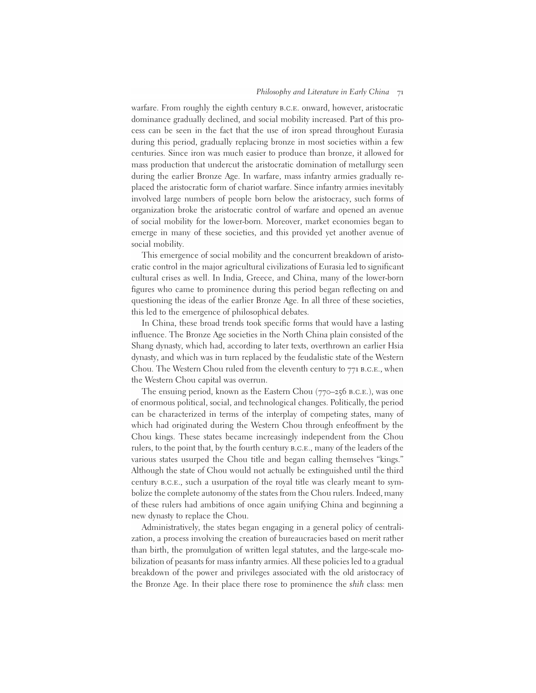warfare. From roughly the eighth century b.c.e. onward, however, aristocratic dominance gradually declined, and social mobility increased. Part of this process can be seen in the fact that the use of iron spread throughout Eurasia during this period, gradually replacing bronze in most societies within a few centuries. Since iron was much easier to produce than bronze, it allowed for mass production that undercut the aristocratic domination of metallurgy seen during the earlier Bronze Age. In warfare, mass infantry armies gradually replaced the aristocratic form of chariot warfare. Since infantry armies inevitably involved large numbers of people born below the aristocracy, such forms of organization broke the aristocratic control of warfare and opened an avenue of social mobility for the lower-born. Moreover, market economies began to emerge in many of these societies, and this provided yet another avenue of social mobility.

This emergence of social mobility and the concurrent breakdown of aristocratic control in the major agricultural civilizations of Eurasia led to significant cultural crises as well. In India, Greece, and China, many of the lower-born figures who came to prominence during this period began reflecting on and questioning the ideas of the earlier Bronze Age. In all three of these societies, this led to the emergence of philosophical debates.

In China, these broad trends took specific forms that would have a lasting influence. The Bronze Age societies in the North China plain consisted of the Shang dynasty, which had, according to later texts, overthrown an earlier Hsia dynasty, and which was in turn replaced by the feudalistic state of the Western Chou. The Western Chou ruled from the eleventh century to 771 b.c.e., when the Western Chou capital was overrun.

The ensuing period, known as the Eastern Chou  $(770-256 \text{ B.C.E.})$ , was one of enormous political, social, and technological changes. Politically, the period can be characterized in terms of the interplay of competing states, many of which had originated during the Western Chou through enfeoffment by the Chou kings. These states became increasingly independent from the Chou rulers, to the point that, by the fourth century b.c.e., many of the leaders of the various states usurped the Chou title and began calling themselves "kings." Although the state of Chou would not actually be extinguished until the third century b.c.e., such a usurpation of the royal title was clearly meant to symbolize the complete autonomy of the states from the Chou rulers. Indeed, many of these rulers had ambitions of once again unifying China and beginning a new dynasty to replace the Chou.

Administratively, the states began engaging in a general policy of centralization, a process involving the creation of bureaucracies based on merit rather than birth, the promulgation of written legal statutes, and the large-scale mobilization of peasants for mass infantry armies. All these policies led to a gradual breakdown of the power and privileges associated with the old aristocracy of the Bronze Age. In their place there rose to prominence the *shih* class: men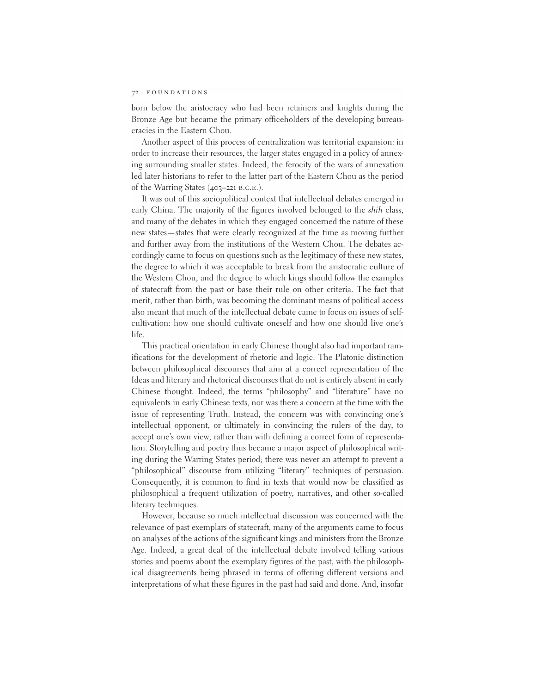born below the aristocracy who had been retainers and knights during the Bronze Age but became the primary officeholders of the developing bureaucracies in the Eastern Chou.

Another aspect of this process of centralization was territorial expansion: in order to increase their resources, the larger states engaged in a policy of annexing surrounding smaller states. Indeed, the ferocity of the wars of annexation led later historians to refer to the latter part of the Eastern Chou as the period of the Warring States (403–221 b.c.e.).

It was out of this sociopolitical context that intellectual debates emerged in early China. The majority of the figures involved belonged to the *shih* class, and many of the debates in which they engaged concerned the nature of these new states—states that were clearly recognized at the time as moving further and further away from the institutions of the Western Chou. The debates accordingly came to focus on questions such as the legitimacy of these new states, the degree to which it was acceptable to break from the aristocratic culture of the Western Chou, and the degree to which kings should follow the examples of statecraft from the past or base their rule on other criteria. The fact that merit, rather than birth, was becoming the dominant means of political access also meant that much of the intellectual debate came to focus on issues of selfcultivation: how one should cultivate oneself and how one should live one's life.

This practical orientation in early Chinese thought also had important ramifications for the development of rhetoric and logic. The Platonic distinction between philosophical discourses that aim at a correct representation of the Ideas and literary and rhetorical discourses that do not is entirely absent in early Chinese thought. Indeed, the terms "philosophy" and "literature" have no equivalents in early Chinese texts, nor was there a concern at the time with the issue of representing Truth. Instead, the concern was with convincing one's intellectual opponent, or ultimately in convincing the rulers of the day, to accept one's own view, rather than with defining a correct form of representation. Storytelling and poetry thus became a major aspect of philosophical writing during the Warring States period; there was never an attempt to prevent a "philosophical" discourse from utilizing "literary" techniques of persuasion. Consequently, it is common to find in texts that would now be classified as philosophical a frequent utilization of poetry, narratives, and other so-called literary techniques.

However, because so much intellectual discussion was concerned with the relevance of past exemplars of statecraft, many of the arguments came to focus on analyses of the actions of the significant kings and ministers from the Bronze Age. Indeed, a great deal of the intellectual debate involved telling various stories and poems about the exemplary figures of the past, with the philosophical disagreements being phrased in terms of offering different versions and interpretations of what these figures in the past had said and done. And, insofar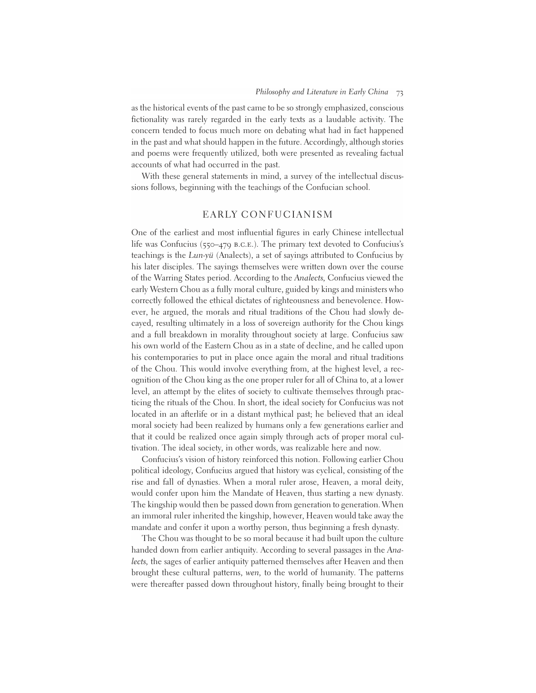as the historical events of the past came to be so strongly emphasized, conscious fictionality was rarely regarded in the early texts as a laudable activity. The concern tended to focus much more on debating what had in fact happened in the past and what should happen in the future. Accordingly, although stories and poems were frequently utilized, both were presented as revealing factual accounts of what had occurred in the past.

With these general statements in mind, a survey of the intellectual discussions follows, beginning with the teachings of the Confucian school.

#### EARLY CONFUCIANISM

One of the earliest and most influential figures in early Chinese intellectual life was Confucius (550–479 b.c.e.). The primary text devoted to Confucius's teachings is the *Lun-yu¨* (Analects), a set of sayings attributed to Confucius by his later disciples. The sayings themselves were written down over the course of the Warring States period. According to the *Analects,* Confucius viewed the early Western Chou as a fully moral culture, guided by kings and ministers who correctly followed the ethical dictates of righteousness and benevolence. However, he argued, the morals and ritual traditions of the Chou had slowly decayed, resulting ultimately in a loss of sovereign authority for the Chou kings and a full breakdown in morality throughout society at large. Confucius saw his own world of the Eastern Chou as in a state of decline, and he called upon his contemporaries to put in place once again the moral and ritual traditions of the Chou. This would involve everything from, at the highest level, a recognition of the Chou king as the one proper ruler for all of China to, at a lower level, an attempt by the elites of society to cultivate themselves through practicing the rituals of the Chou. In short, the ideal society for Confucius was not located in an afterlife or in a distant mythical past; he believed that an ideal moral society had been realized by humans only a few generations earlier and that it could be realized once again simply through acts of proper moral cultivation. The ideal society, in other words, was realizable here and now.

Confucius's vision of history reinforced this notion. Following earlier Chou political ideology, Confucius argued that history was cyclical, consisting of the rise and fall of dynasties. When a moral ruler arose, Heaven, a moral deity, would confer upon him the Mandate of Heaven, thus starting a new dynasty. The kingship would then be passed down from generation to generation. When an immoral ruler inherited the kingship, however, Heaven would take away the mandate and confer it upon a worthy person, thus beginning a fresh dynasty.

The Chou was thought to be so moral because it had built upon the culture handed down from earlier antiquity. According to several passages in the *Analects,* the sages of earlier antiquity patterned themselves after Heaven and then brought these cultural patterns, *wen,* to the world of humanity. The patterns were thereafter passed down throughout history, finally being brought to their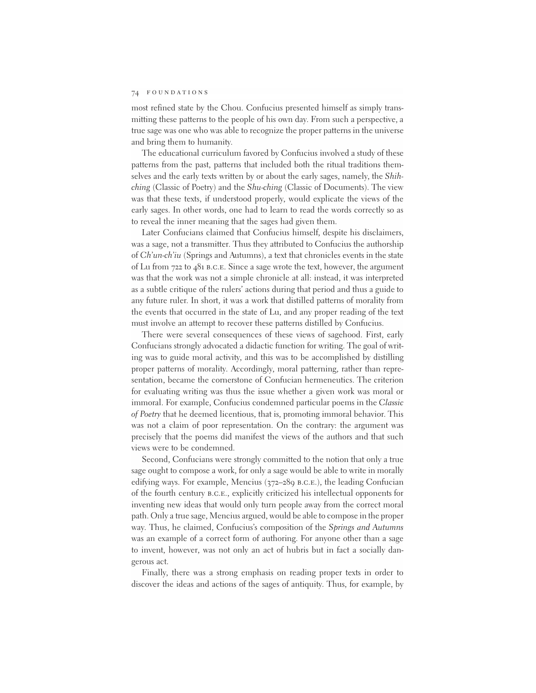most refined state by the Chou. Confucius presented himself as simply transmitting these patterns to the people of his own day. From such a perspective, a true sage was one who was able to recognize the proper patterns in the universe and bring them to humanity.

The educational curriculum favored by Confucius involved a study of these patterns from the past, patterns that included both the ritual traditions themselves and the early texts written by or about the early sages, namely, the *Shihching* (Classic of Poetry) and the *Shu-ching* (Classic of Documents). The view was that these texts, if understood properly, would explicate the views of the early sages. In other words, one had to learn to read the words correctly so as to reveal the inner meaning that the sages had given them.

Later Confucians claimed that Confucius himself, despite his disclaimers, was a sage, not a transmitter. Thus they attributed to Confucius the authorship of *Ch'un-ch'iu* (Springs and Autumns), a text that chronicles events in the state of Lu from 722 to 481 b.c.e. Since a sage wrote the text, however, the argument was that the work was not a simple chronicle at all: instead, it was interpreted as a subtle critique of the rulers' actions during that period and thus a guide to any future ruler. In short, it was a work that distilled patterns of morality from the events that occurred in the state of Lu, and any proper reading of the text must involve an attempt to recover these patterns distilled by Confucius.

There were several consequences of these views of sagehood. First, early Confucians strongly advocated a didactic function for writing. The goal of writing was to guide moral activity, and this was to be accomplished by distilling proper patterns of morality. Accordingly, moral patterning, rather than representation, became the cornerstone of Confucian hermeneutics. The criterion for evaluating writing was thus the issue whether a given work was moral or immoral. For example, Confucius condemned particular poems in the *Classic of Poetry* that he deemed licentious, that is, promoting immoral behavior. This was not a claim of poor representation. On the contrary: the argument was precisely that the poems did manifest the views of the authors and that such views were to be condemned.

Second, Confucians were strongly committed to the notion that only a true sage ought to compose a work, for only a sage would be able to write in morally edifying ways. For example, Mencius (372–289 b.c.e.), the leading Confucian of the fourth century b.c.e., explicitly criticized his intellectual opponents for inventing new ideas that would only turn people away from the correct moral path. Only a true sage, Mencius argued, would be able to compose in the proper way. Thus, he claimed, Confucius's composition of the *Springs and Autumns* was an example of a correct form of authoring. For anyone other than a sage to invent, however, was not only an act of hubris but in fact a socially dangerous act.

Finally, there was a strong emphasis on reading proper texts in order to discover the ideas and actions of the sages of antiquity. Thus, for example, by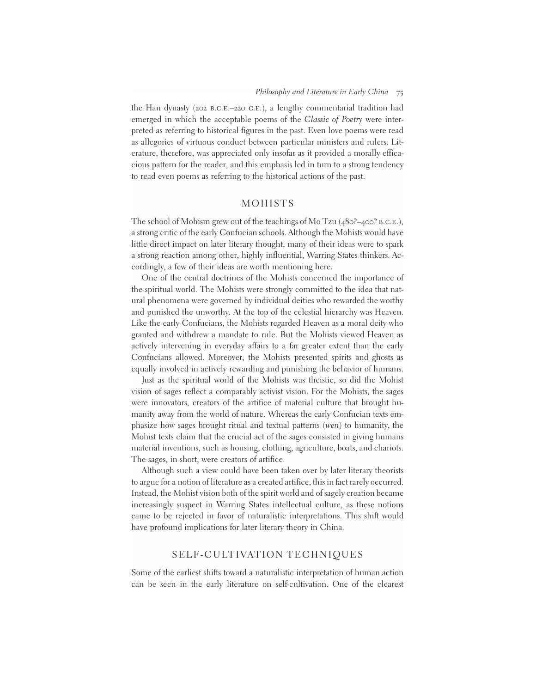the Han dynasty (202 B.C.E.–220 C.E.), a lengthy commentarial tradition had emerged in which the acceptable poems of the *Classic of Poetry* were interpreted as referring to historical figures in the past. Even love poems were read as allegories of virtuous conduct between particular ministers and rulers. Literature, therefore, was appreciated only insofar as it provided a morally efficacious pattern for the reader, and this emphasis led in turn to a strong tendency to read even poems as referring to the historical actions of the past.

#### MOHISTS

The school of Mohism grew out of the teachings of Mo Tzu (480?–400? b.c.e.), a strong critic of the early Confucian schools. Although the Mohists would have little direct impact on later literary thought, many of their ideas were to spark a strong reaction among other, highly influential, Warring States thinkers. Accordingly, a few of their ideas are worth mentioning here.

One of the central doctrines of the Mohists concerned the importance of the spiritual world. The Mohists were strongly committed to the idea that natural phenomena were governed by individual deities who rewarded the worthy and punished the unworthy. At the top of the celestial hierarchy was Heaven. Like the early Confucians, the Mohists regarded Heaven as a moral deity who granted and withdrew a mandate to rule. But the Mohists viewed Heaven as actively intervening in everyday affairs to a far greater extent than the early Confucians allowed. Moreover, the Mohists presented spirits and ghosts as equally involved in actively rewarding and punishing the behavior of humans.

Just as the spiritual world of the Mohists was theistic, so did the Mohist vision of sages reflect a comparably activist vision. For the Mohists, the sages were innovators, creators of the artifice of material culture that brought humanity away from the world of nature. Whereas the early Confucian texts emphasize how sages brought ritual and textual patterns (*wen*) to humanity, the Mohist texts claim that the crucial act of the sages consisted in giving humans material inventions, such as housing, clothing, agriculture, boats, and chariots. The sages, in short, were creators of artifice.

Although such a view could have been taken over by later literary theorists to argue for a notion of literature as a created artifice, this in fact rarely occurred. Instead, the Mohist vision both of the spirit world and of sagely creation became increasingly suspect in Warring States intellectual culture, as these notions came to be rejected in favor of naturalistic interpretations. This shift would have profound implications for later literary theory in China.

#### SELF-CULTIVATION TECHNIQUES

Some of the earliest shifts toward a naturalistic interpretation of human action can be seen in the early literature on self-cultivation. One of the clearest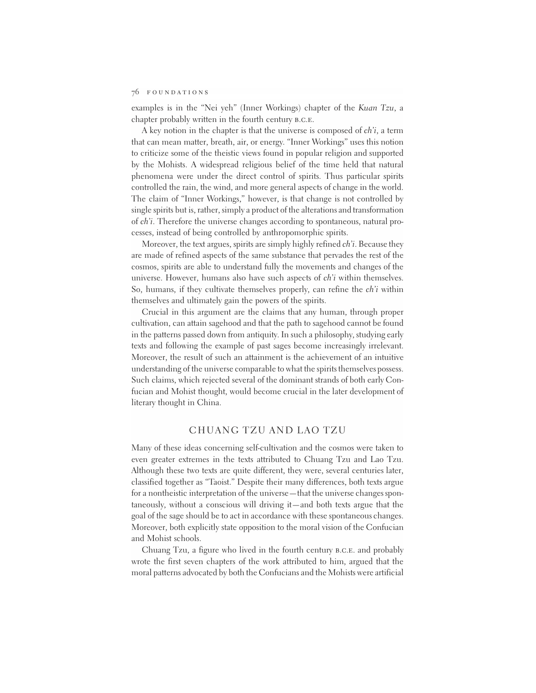examples is in the "Nei yeh" (Inner Workings) chapter of the *Kuan Tzu*, a chapter probably written in the fourth century b.c.e.

A key notion in the chapter is that the universe is composed of *ch'i*, a term that can mean matter, breath, air, or energy. "Inner Workings" uses this notion to criticize some of the theistic views found in popular religion and supported by the Mohists. A widespread religious belief of the time held that natural phenomena were under the direct control of spirits. Thus particular spirits controlled the rain, the wind, and more general aspects of change in the world. The claim of "Inner Workings," however, is that change is not controlled by single spirits but is, rather, simply a product of the alterations and transformation of *ch'i*. Therefore the universe changes according to spontaneous, natural processes, instead of being controlled by anthropomorphic spirits.

Moreover, the text argues, spirits are simply highly refined *ch'i*. Because they are made of refined aspects of the same substance that pervades the rest of the cosmos, spirits are able to understand fully the movements and changes of the universe. However, humans also have such aspects of *ch'i* within themselves. So, humans, if they cultivate themselves properly, can refine the *ch'i* within themselves and ultimately gain the powers of the spirits.

Crucial in this argument are the claims that any human, through proper cultivation, can attain sagehood and that the path to sagehood cannot be found in the patterns passed down from antiquity. In such a philosophy, studying early texts and following the example of past sages become increasingly irrelevant. Moreover, the result of such an attainment is the achievement of an intuitive understanding of the universe comparable to what the spirits themselves possess. Such claims, which rejected several of the dominant strands of both early Confucian and Mohist thought, would become crucial in the later development of literary thought in China.

#### CHUANG TZU AND LAO TZU

Many of these ideas concerning self-cultivation and the cosmos were taken to even greater extremes in the texts attributed to Chuang Tzu and Lao Tzu. Although these two texts are quite different, they were, several centuries later, classified together as "Taoist." Despite their many differences, both texts argue for a nontheistic interpretation of the universe—that the universe changes spontaneously, without a conscious will driving it—and both texts argue that the goal of the sage should be to act in accordance with these spontaneous changes. Moreover, both explicitly state opposition to the moral vision of the Confucian and Mohist schools.

Chuang Tzu, a figure who lived in the fourth century b.c.e. and probably wrote the first seven chapters of the work attributed to him, argued that the moral patterns advocated by both the Confucians and the Mohists were artificial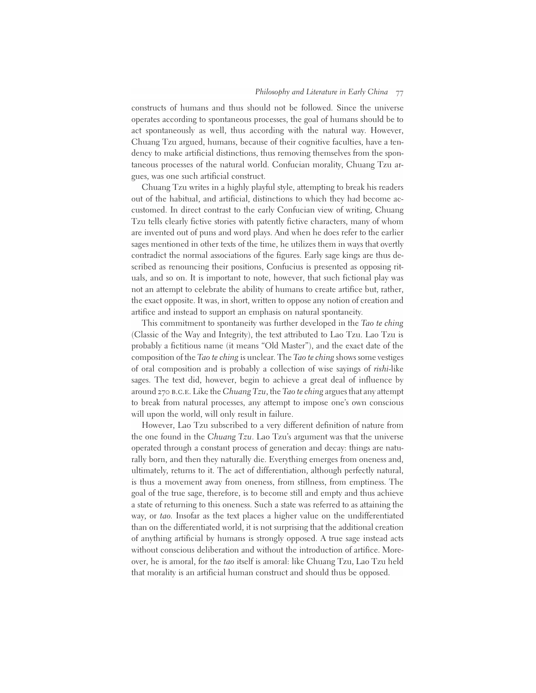constructs of humans and thus should not be followed. Since the universe operates according to spontaneous processes, the goal of humans should be to act spontaneously as well, thus according with the natural way. However, Chuang Tzu argued, humans, because of their cognitive faculties, have a tendency to make artificial distinctions, thus removing themselves from the spontaneous processes of the natural world. Confucian morality, Chuang Tzu argues, was one such artificial construct.

Chuang Tzu writes in a highly playful style, attempting to break his readers out of the habitual, and artificial, distinctions to which they had become accustomed. In direct contrast to the early Confucian view of writing, Chuang Tzu tells clearly fictive stories with patently fictive characters, many of whom are invented out of puns and word plays. And when he does refer to the earlier sages mentioned in other texts of the time, he utilizes them in ways that overtly contradict the normal associations of the figures. Early sage kings are thus described as renouncing their positions, Confucius is presented as opposing rituals, and so on. It is important to note, however, that such fictional play was not an attempt to celebrate the ability of humans to create artifice but, rather, the exact opposite. It was, in short, written to oppose any notion of creation and artifice and instead to support an emphasis on natural spontaneity.

This commitment to spontaneity was further developed in the *Tao te ching* (Classic of the Way and Integrity), the text attributed to Lao Tzu. Lao Tzu is probably a fictitious name (it means "Old Master"), and the exact date of the composition of the *Tao te ching* is unclear. The *Tao te ching* shows some vestiges of oral composition and is probably a collection of wise sayings of *rishi*-like sages. The text did, however, begin to achieve a great deal of influence by around 270 b.c.e. Like the *Chuang Tzu*, the *Tao te ching* argues that any attempt to break from natural processes, any attempt to impose one's own conscious will upon the world, will only result in failure.

However, Lao Tzu subscribed to a very different definition of nature from the one found in the *Chuang Tzu*. Lao Tzu's argument was that the universe operated through a constant process of generation and decay: things are naturally born, and then they naturally die. Everything emerges from oneness and, ultimately, returns to it. The act of differentiation, although perfectly natural, is thus a movement away from oneness, from stillness, from emptiness. The goal of the true sage, therefore, is to become still and empty and thus achieve a state of returning to this oneness. Such a state was referred to as attaining the way, or *tao.* Insofar as the text places a higher value on the undifferentiated than on the differentiated world, it is not surprising that the additional creation of anything artificial by humans is strongly opposed. A true sage instead acts without conscious deliberation and without the introduction of artifice. Moreover, he is amoral, for the *tao* itself is amoral: like Chuang Tzu, Lao Tzu held that morality is an artificial human construct and should thus be opposed.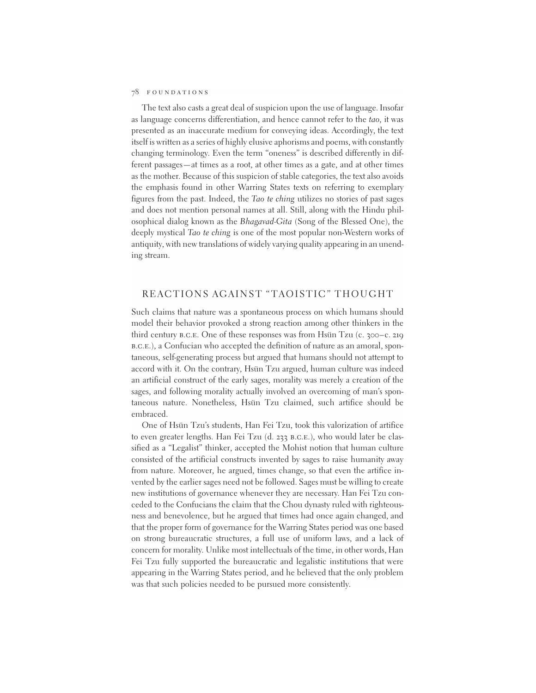The text also casts a great deal of suspicion upon the use of language. Insofar as language concerns differentiation, and hence cannot refer to the *tao,* it was presented as an inaccurate medium for conveying ideas. Accordingly, the text itself is written as a series of highly elusive aphorisms and poems, with constantly changing terminology. Even the term "oneness" is described differently in different passages—at times as a root, at other times as a gate, and at other times as the mother. Because of this suspicion of stable categories, the text also avoids the emphasis found in other Warring States texts on referring to exemplary figures from the past. Indeed, the *Tao te ching* utilizes no stories of past sages and does not mention personal names at all. Still, along with the Hindu philosophical dialog known as the *Bhagavad-Gita* (Song of the Blessed One), the deeply mystical *Tao te ching* is one of the most popular non-Western works of antiquity, with new translations of widely varying quality appearing in an unending stream.

#### REACTIONS AGAINST "TAOISTIC" THOUGHT

Such claims that nature was a spontaneous process on which humans should model their behavior provoked a strong reaction among other thinkers in the third century  $B.C.E.$  One of these responses was from Hsun Tzu (c. 300–c. 219) b.c.e.), a Confucian who accepted the definition of nature as an amoral, spontaneous, self-generating process but argued that humans should not attempt to accord with it. On the contrary, Hsün Tzu argued, human culture was indeed an artificial construct of the early sages, morality was merely a creation of the sages, and following morality actually involved an overcoming of man's spontaneous nature. Nonetheless, Hsün Tzu claimed, such artifice should be embraced.

One of Hsün Tzu's students, Han Fei Tzu, took this valorization of artifice to even greater lengths. Han Fei Tzu (d. 233 b.c.e.), who would later be classified as a "Legalist" thinker, accepted the Mohist notion that human culture consisted of the artificial constructs invented by sages to raise humanity away from nature. Moreover, he argued, times change, so that even the artifice invented by the earlier sages need not be followed. Sages must be willing to create new institutions of governance whenever they are necessary. Han Fei Tzu conceded to the Confucians the claim that the Chou dynasty ruled with righteousness and benevolence, but he argued that times had once again changed, and that the proper form of governance for the Warring States period was one based on strong bureaucratic structures, a full use of uniform laws, and a lack of concern for morality. Unlike most intellectuals of the time, in other words, Han Fei Tzu fully supported the bureaucratic and legalistic institutions that were appearing in the Warring States period, and he believed that the only problem was that such policies needed to be pursued more consistently.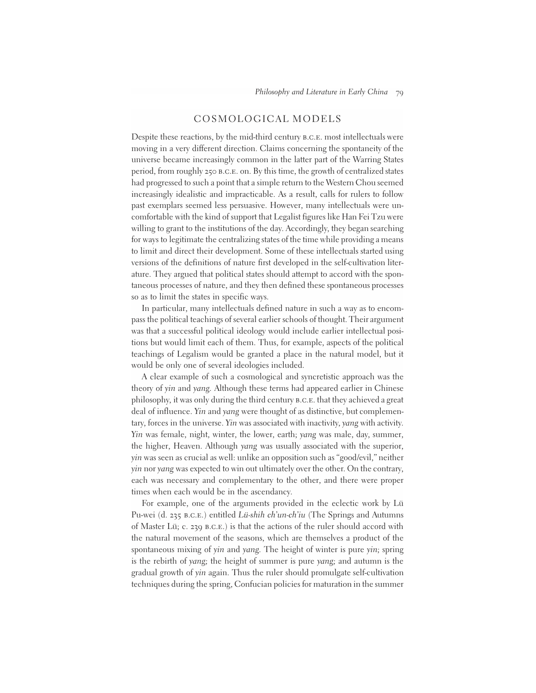#### COSMOLOGICAL MODELS

Despite these reactions, by the mid-third century b.c.e. most intellectuals were moving in a very different direction. Claims concerning the spontaneity of the universe became increasingly common in the latter part of the Warring States period, from roughly 250 b.c.e. on. By this time, the growth of centralized states had progressed to such a point that a simple return to the Western Chou seemed increasingly idealistic and impracticable. As a result, calls for rulers to follow past exemplars seemed less persuasive. However, many intellectuals were uncomfortable with the kind of support that Legalist figures like Han Fei Tzu were willing to grant to the institutions of the day. Accordingly, they began searching for ways to legitimate the centralizing states of the time while providing a means to limit and direct their development. Some of these intellectuals started using versions of the definitions of nature first developed in the self-cultivation literature. They argued that political states should attempt to accord with the spontaneous processes of nature, and they then defined these spontaneous processes so as to limit the states in specific ways.

In particular, many intellectuals defined nature in such a way as to encompass the political teachings of several earlier schools of thought. Their argument was that a successful political ideology would include earlier intellectual positions but would limit each of them. Thus, for example, aspects of the political teachings of Legalism would be granted a place in the natural model, but it would be only one of several ideologies included.

A clear example of such a cosmological and syncretistic approach was the theory of *yin* and *yang.* Although these terms had appeared earlier in Chinese philosophy, it was only during the third century b.c.e. that they achieved a great deal of influence. *Yin* and *yang* were thought of as distinctive, but complementary, forces in the universe. *Yin* was associated with inactivity, *yang* with activity. *Yin* was female, night, winter, the lower, earth; *yang* was male, day, summer, the higher, Heaven. Although *yang* was usually associated with the superior, *yin* was seen as crucial as well: unlike an opposition such as "good/evil," neither *yin* nor *yang* was expected to win out ultimately over the other. On the contrary, each was necessary and complementary to the other, and there were proper times when each would be in the ascendancy.

For example, one of the arguments provided in the eclectic work by Lü Pu-wei (d. 235 B.C.E.) entitled *Lü-shih ch'un-ch'iu* (The Springs and Autumns of Master Lü; c. 239 B.C.E.) is that the actions of the ruler should accord with the natural movement of the seasons, which are themselves a product of the spontaneous mixing of *yin* and *yang.* The height of winter is pure *yin;* spring is the rebirth of *yang;* the height of summer is pure *yang;* and autumn is the gradual growth of *yin* again. Thus the ruler should promulgate self-cultivation techniques during the spring, Confucian policies for maturation in the summer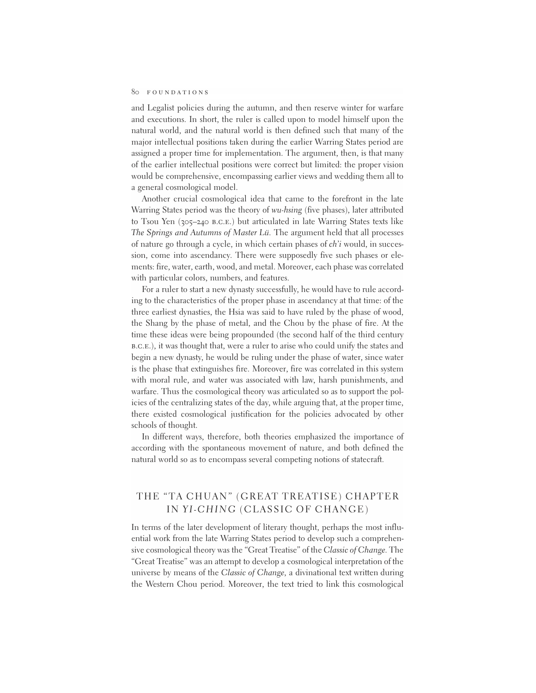and Legalist policies during the autumn, and then reserve winter for warfare and executions. In short, the ruler is called upon to model himself upon the natural world, and the natural world is then defined such that many of the major intellectual positions taken during the earlier Warring States period are assigned a proper time for implementation. The argument, then, is that many of the earlier intellectual positions were correct but limited: the proper vision would be comprehensive, encompassing earlier views and wedding them all to a general cosmological model.

Another crucial cosmological idea that came to the forefront in the late Warring States period was the theory of *wu-hsing* (five phases), later attributed to Tsou Yen (305–240 b.c.e.) but articulated in late Warring States texts like *The Springs and Autumns of Master Lu¨ .* The argument held that all processes of nature go through a cycle, in which certain phases of *ch'i* would, in succession, come into ascendancy. There were supposedly five such phases or elements: fire, water, earth, wood, and metal. Moreover, each phase was correlated with particular colors, numbers, and features.

For a ruler to start a new dynasty successfully, he would have to rule according to the characteristics of the proper phase in ascendancy at that time: of the three earliest dynasties, the Hsia was said to have ruled by the phase of wood, the Shang by the phase of metal, and the Chou by the phase of fire. At the time these ideas were being propounded (the second half of the third century b.c.e.), it was thought that, were a ruler to arise who could unify the states and begin a new dynasty, he would be ruling under the phase of water, since water is the phase that extinguishes fire. Moreover, fire was correlated in this system with moral rule, and water was associated with law, harsh punishments, and warfare. Thus the cosmological theory was articulated so as to support the policies of the centralizing states of the day, while arguing that, at the proper time, there existed cosmological justification for the policies advocated by other schools of thought.

In different ways, therefore, both theories emphasized the importance of according with the spontaneous movement of nature, and both defined the natural world so as to encompass several competing notions of statecraft.

## THE "TA CHUAN" (GREAT TREATISE) CHAPTER IN YI-CHING (CLASSIC OF CHANGE)

In terms of the later development of literary thought, perhaps the most influential work from the late Warring States period to develop such a comprehensive cosmological theory was the "Great Treatise" of the *Classic of Change.* The "Great Treatise" was an attempt to develop a cosmological interpretation of the universe by means of the *Classic of Change,* a divinational text written during the Western Chou period. Moreover, the text tried to link this cosmological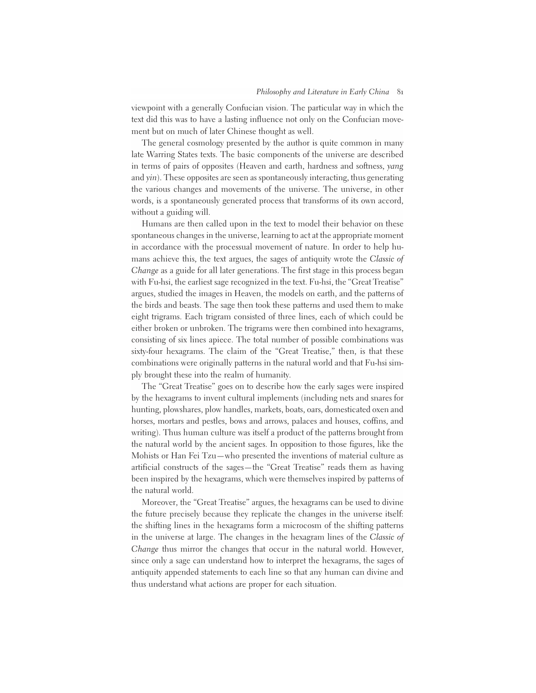viewpoint with a generally Confucian vision. The particular way in which the text did this was to have a lasting influence not only on the Confucian movement but on much of later Chinese thought as well.

The general cosmology presented by the author is quite common in many late Warring States texts. The basic components of the universe are described in terms of pairs of opposites (Heaven and earth, hardness and softness, *yang* and *yin*). These opposites are seen as spontaneously interacting, thus generating the various changes and movements of the universe. The universe, in other words, is a spontaneously generated process that transforms of its own accord, without a guiding will.

Humans are then called upon in the text to model their behavior on these spontaneous changes in the universe, learning to act at the appropriate moment in accordance with the processual movement of nature. In order to help humans achieve this, the text argues, the sages of antiquity wrote the *Classic of Change* as a guide for all later generations. The first stage in this process began with Fu-hsi, the earliest sage recognized in the text. Fu-hsi, the "Great Treatise" argues, studied the images in Heaven, the models on earth, and the patterns of the birds and beasts. The sage then took these patterns and used them to make eight trigrams. Each trigram consisted of three lines, each of which could be either broken or unbroken. The trigrams were then combined into hexagrams, consisting of six lines apiece. The total number of possible combinations was sixty-four hexagrams. The claim of the "Great Treatise," then, is that these combinations were originally patterns in the natural world and that Fu-hsi simply brought these into the realm of humanity.

The "Great Treatise" goes on to describe how the early sages were inspired by the hexagrams to invent cultural implements (including nets and snares for hunting, plowshares, plow handles, markets, boats, oars, domesticated oxen and horses, mortars and pestles, bows and arrows, palaces and houses, coffins, and writing). Thus human culture was itself a product of the patterns brought from the natural world by the ancient sages. In opposition to those figures, like the Mohists or Han Fei Tzu—who presented the inventions of material culture as artificial constructs of the sages—the "Great Treatise" reads them as having been inspired by the hexagrams, which were themselves inspired by patterns of the natural world.

Moreover, the "Great Treatise" argues, the hexagrams can be used to divine the future precisely because they replicate the changes in the universe itself: the shifting lines in the hexagrams form a microcosm of the shifting patterns in the universe at large. The changes in the hexagram lines of the *Classic of Change* thus mirror the changes that occur in the natural world. However, since only a sage can understand how to interpret the hexagrams, the sages of antiquity appended statements to each line so that any human can divine and thus understand what actions are proper for each situation.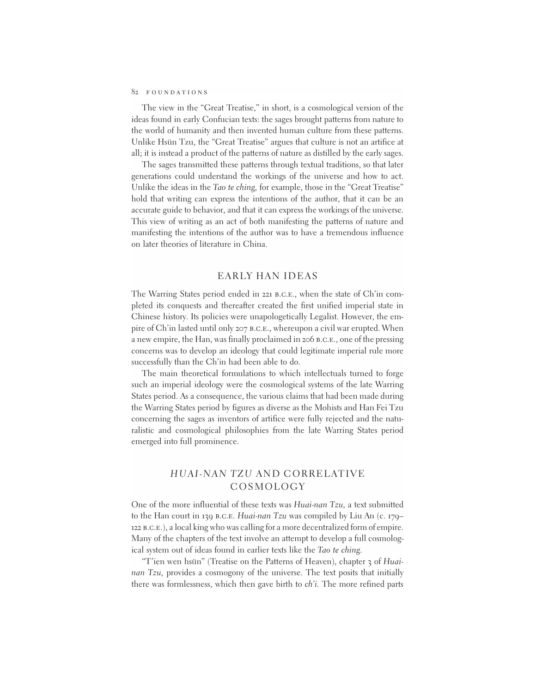The view in the "Great Treatise," in short, is a cosmological version of the ideas found in early Confucian texts: the sages brought patterns from nature to the world of humanity and then invented human culture from these patterns. Unlike Hsün Tzu, the "Great Treatise" argues that culture is not an artifice at all; it is instead a product of the patterns of nature as distilled by the early sages.

The sages transmitted these patterns through textual traditions, so that later generations could understand the workings of the universe and how to act. Unlike the ideas in the *Tao te ching,* for example, those in the "Great Treatise" hold that writing can express the intentions of the author, that it can be an accurate guide to behavior, and that it can express the workings of the universe. This view of writing as an act of both manifesting the patterns of nature and manifesting the intentions of the author was to have a tremendous influence on later theories of literature in China.

#### EARLY HAN IDEAS

The Warring States period ended in 221 B.C.E., when the state of Ch'in completed its conquests and thereafter created the first unified imperial state in Chinese history. Its policies were unapologetically Legalist. However, the empire of Ch'in lasted until only 207 b.c.e., whereupon a civil war erupted. When a new empire, the Han, was finally proclaimed in 206 b.c.e., one of the pressing concerns was to develop an ideology that could legitimate imperial rule more successfully than the Ch'in had been able to do.

The main theoretical formulations to which intellectuals turned to forge such an imperial ideology were the cosmological systems of the late Warring States period. As a consequence, the various claims that had been made during the Warring States period by figures as diverse as the Mohists and Han Fei Tzu concerning the sages as inventors of artifice were fully rejected and the naturalistic and cosmological philosophies from the late Warring States period emerged into full prominence.

## *HUAI-NAN TZU* AND CORRELATIVE COSMOLOGY

One of the more influential of these texts was *Huai-nan Tzu,* a text submitted to the Han court in 139 b.c.e. *Huai-nan Tzu* was compiled by Liu An (c. 179– 122 b.c.e.), a local king who was calling for a more decentralized form of empire. Many of the chapters of the text involve an attempt to develop a full cosmological system out of ideas found in earlier texts like the *Tao te ching.*

"T'ien wen hsün" (Treatise on the Patterns of Heaven), chapter 3 of *Huainan Tzu,* provides a cosmogony of the universe. The text posits that initially there was formlessness, which then gave birth to *ch'i.* The more refined parts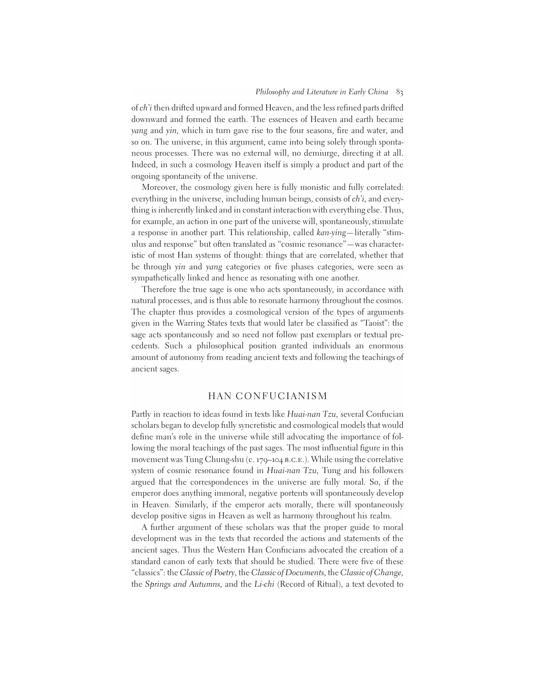of *ch'i* then drifted upward and formed Heaven, and the less refined parts drifted downward and formed the earth. The essences of Heaven and earth became *yang* and *yin,* which in turn gave rise to the four seasons, fire and water, and so on. The universe, in this argument, came into being solely through spontaneous processes. There was no external will, no demiurge, directing it at all. Indeed, in such a cosmology Heaven itself is simply a product and part of the ongoing spontaneity of the universe.

Moreover, the cosmology given here is fully monistic and fully correlated: everything in the universe, including human beings, consists of *ch'i,* and everything is inherently linked and in constant interaction with everything else. Thus, for example, an action in one part of the universe will, spontaneously, stimulate a response in another part. This relationship, called *kan-ying—*literally "stimulus and response" but often translated as "cosmic resonance"—was characteristic of most Han systems of thought: things that are correlated, whether that be through *yin* and *yang* categories or five phases categories, were seen as sympathetically linked and hence as resonating with one another.

Therefore the true sage is one who acts spontaneously, in accordance with natural processes, and is thus able to resonate harmony throughout the cosmos. The chapter thus provides a cosmological version of the types of arguments given in the Warring States texts that would later be classified as "Taoist": the sage acts spontaneously and so need not follow past exemplars or textual precedents. Such a philosophical position granted individuals an enormous amount of autonomy from reading ancient texts and following the teachings of ancient sages.

#### HAN CONFUCIANISM

Partly in reaction to ideas found in texts like *Huai-nan Tzu,* several Confucian scholars began to develop fully syncretistic and cosmological models that would define man's role in the universe while still advocating the importance of following the moral teachings of the past sages. The most influential figure in this movement was Tung Chung-shu (c. 179–104 b.c.e.). While using the correlative system of cosmic resonance found in *Huai-nan Tzu,* Tung and his followers argued that the correspondences in the universe are fully moral. So, if the emperor does anything immoral, negative portents will spontaneously develop in Heaven. Similarly, if the emperor acts morally, there will spontaneously develop positive signs in Heaven as well as harmony throughout his realm.

A further argument of these scholars was that the proper guide to moral development was in the texts that recorded the actions and statements of the ancient sages. Thus the Western Han Confucians advocated the creation of a standard canon of early texts that should be studied. There were five of these "classics": the *Classic of Poetry,* the *Classic of Documents,* the *Classic of Change,* the *Springs and Autumns,* and the *Li-chi* (Record of Ritual), a text devoted to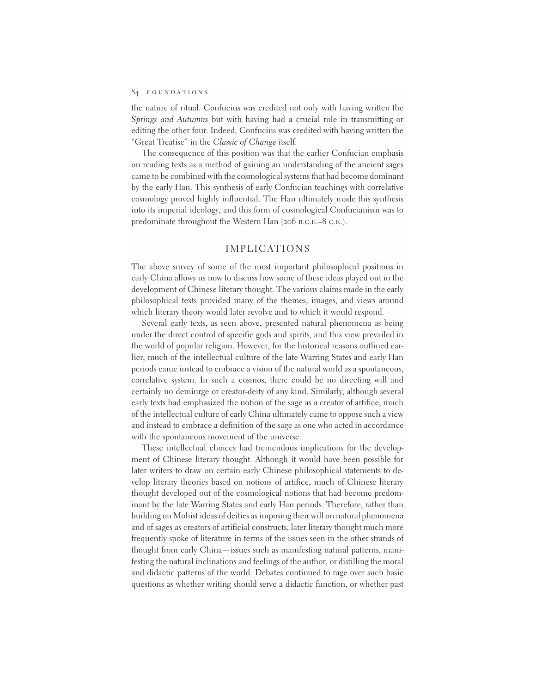the nature of ritual. Confucius was credited not only with having written the *Springs and Autumns* but with having had a crucial role in transmitting or editing the other four. Indeed, Confucius was credited with having written the "Great Treatise" in the *Classic of Change* itself.

The consequence of this position was that the earlier Confucian emphasis on reading texts as a method of gaining an understanding of the ancient sages came to be combined with the cosmological systems that had become dominant by the early Han. This synthesis of early Confucian teachings with correlative cosmology proved highly influential. The Han ultimately made this synthesis into its imperial ideology, and this form of cosmological Confucianism was to predominate throughout the Western Han (206 B.C.E.–8 C.E.).

#### IMPLICATIONS

The above survey of some of the most important philosophical positions in early China allows us now to discuss how some of these ideas played out in the development of Chinese literary thought. The various claims made in the early philosophical texts provided many of the themes, images, and views around which literary theory would later revolve and to which it would respond.

Several early texts, as seen above, presented natural phenomena as being under the direct control of specific gods and spirits, and this view prevailed in the world of popular religion. However, for the historical reasons outlined earlier, much of the intellectual culture of the late Warring States and early Han periods came instead to embrace a vision of the natural world as a spontaneous, correlative system. In such a cosmos, there could be no directing will and certainly no demiurge or creator-deity of any kind. Similarly, although several early texts had emphasized the notion of the sage as a creator of artifice, much of the intellectual culture of early China ultimately came to oppose such a view and instead to embrace a definition of the sage as one who acted in accordance with the spontaneous movement of the universe.

These intellectual choices had tremendous implications for the development of Chinese literary thought. Although it would have been possible for later writers to draw on certain early Chinese philosophical statements to develop literary theories based on notions of artifice, much of Chinese literary thought developed out of the cosmological notions that had become predominant by the late Warring States and early Han periods. Therefore, rather than building on Mohist ideas of deities as imposing their will on natural phenomena and of sages as creators of artificial constructs, later literary thought much more frequently spoke of literature in terms of the issues seen in the other strands of thought from early China—issues such as manifesting natural patterns, manifesting the natural inclinations and feelings of the author, or distilling the moral and didactic patterns of the world. Debates continued to rage over such basic questions as whether writing should serve a didactic function, or whether past